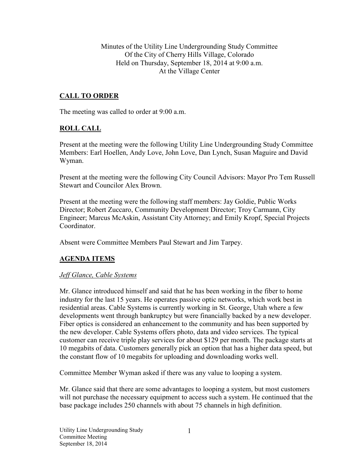Minutes of the Utility Line Undergrounding Study Committee Of the City of Cherry Hills Village, Colorado Held on Thursday, September 18, 2014 at 9:00 a.m. At the Village Center

# **CALL TO ORDER**

The meeting was called to order at 9:00 a.m.

## **ROLL CALL**

Present at the meeting were the following Utility Line Undergrounding Study Committee Members: Earl Hoellen, Andy Love, John Love, Dan Lynch, Susan Maguire and David Wyman.

Present at the meeting were the following City Council Advisors: Mayor Pro Tem Russell Stewart and Councilor Alex Brown.

Present at the meeting were the following staff members: Jay Goldie, Public Works Director; Robert Zuccaro, Community Development Director; Troy Carmann, City Engineer; Marcus McAskin, Assistant City Attorney; and Emily Kropf, Special Projects **Coordinator** 

Absent were Committee Members Paul Stewart and Jim Tarpey.

## **AGENDA ITEMS**

## *Jeff Glance, Cable Systems*

Mr. Glance introduced himself and said that he has been working in the fiber to home industry for the last 15 years. He operates passive optic networks, which work best in residential areas. Cable Systems is currently working in St. George, Utah where a few developments went through bankruptcy but were financially backed by a new developer. Fiber optics is considered an enhancement to the community and has been supported by the new developer. Cable Systems offers photo, data and video services. The typical customer can receive triple play services for about \$129 per month. The package starts at 10 megabits of data. Customers generally pick an option that has a higher data speed, but the constant flow of 10 megabits for uploading and downloading works well.

Committee Member Wyman asked if there was any value to looping a system.

Mr. Glance said that there are some advantages to looping a system, but most customers will not purchase the necessary equipment to access such a system. He continued that the base package includes 250 channels with about 75 channels in high definition.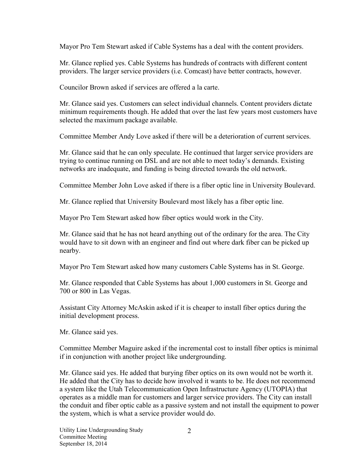Mayor Pro Tem Stewart asked if Cable Systems has a deal with the content providers.

Mr. Glance replied yes. Cable Systems has hundreds of contracts with different content providers. The larger service providers (i.e. Comcast) have better contracts, however.

Councilor Brown asked if services are offered a la carte.

Mr. Glance said yes. Customers can select individual channels. Content providers dictate minimum requirements though. He added that over the last few years most customers have selected the maximum package available.

Committee Member Andy Love asked if there will be a deterioration of current services.

Mr. Glance said that he can only speculate. He continued that larger service providers are trying to continue running on DSL and are not able to meet today's demands. Existing networks are inadequate, and funding is being directed towards the old network.

Committee Member John Love asked if there is a fiber optic line in University Boulevard.

Mr. Glance replied that University Boulevard most likely has a fiber optic line.

Mayor Pro Tem Stewart asked how fiber optics would work in the City.

Mr. Glance said that he has not heard anything out of the ordinary for the area. The City would have to sit down with an engineer and find out where dark fiber can be picked up nearby.

Mayor Pro Tem Stewart asked how many customers Cable Systems has in St. George.

Mr. Glance responded that Cable Systems has about 1,000 customers in St. George and 700 or 800 in Las Vegas.

Assistant City Attorney McAskin asked if it is cheaper to install fiber optics during the initial development process.

Mr. Glance said yes.

Committee Member Maguire asked if the incremental cost to install fiber optics is minimal if in conjunction with another project like undergrounding.

Mr. Glance said yes. He added that burying fiber optics on its own would not be worth it. He added that the City has to decide how involved it wants to be. He does not recommend a system like the Utah Telecommunication Open Infrastructure Agency (UTOPIA) that operates as a middle man for customers and larger service providers. The City can install the conduit and fiber optic cable as a passive system and not install the equipment to power the system, which is what a service provider would do.